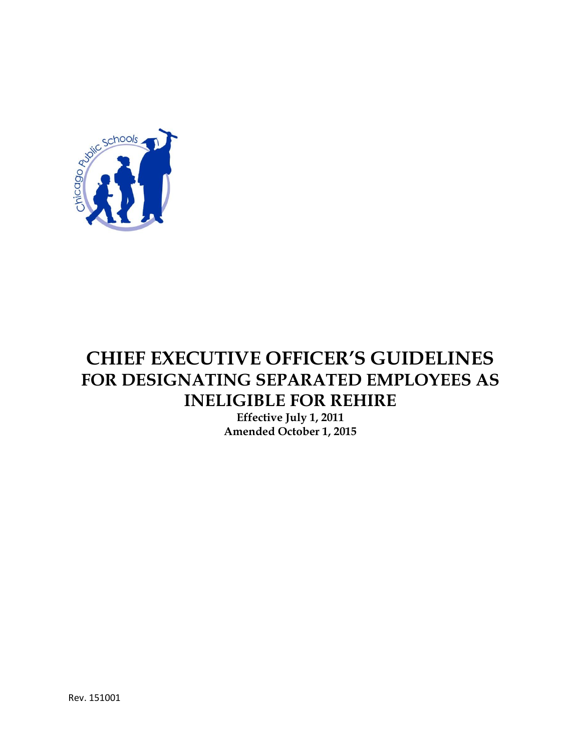

# **CHIEF EXECUTIVE OFFICER'S GUIDELINES FOR DESIGNATING SEPARATED EMPLOYEES AS INELIGIBLE FOR REHIRE**

**Effective July 1, 2011 Amended October 1, 2015**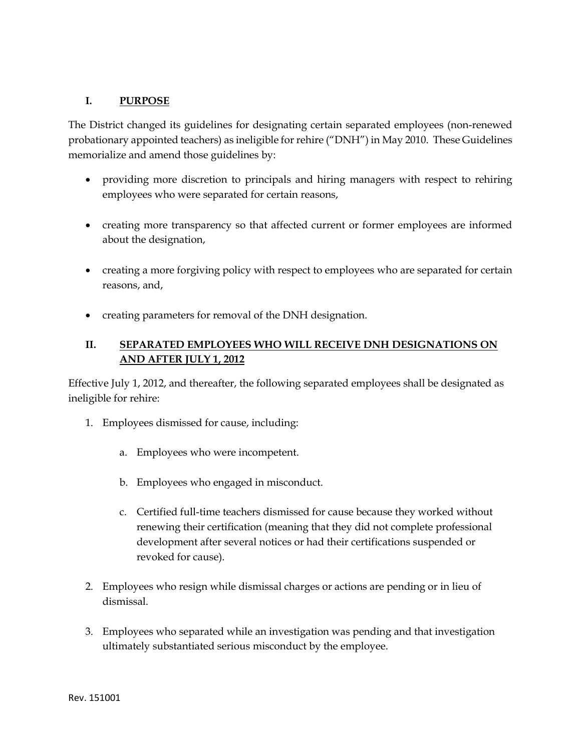#### **I. PURPOSE**

The District changed its guidelines for designating certain separated employees (non-renewed probationary appointed teachers) as ineligible for rehire ("DNH") in May 2010. These Guidelines memorialize and amend those guidelines by:

- providing more discretion to principals and hiring managers with respect to rehiring employees who were separated for certain reasons,
- creating more transparency so that affected current or former employees are informed about the designation,
- creating a more forgiving policy with respect to employees who are separated for certain reasons, and,
- creating parameters for removal of the DNH designation.

## **II. SEPARATED EMPLOYEES WHO WILL RECEIVE DNH DESIGNATIONS ON AND AFTER JULY 1, 2012**

Effective July 1, 2012, and thereafter, the following separated employees shall be designated as ineligible for rehire:

- 1. Employees dismissed for cause, including:
	- a. Employees who were incompetent.
	- b. Employees who engaged in misconduct.
	- c. Certified full-time teachers dismissed for cause because they worked without renewing their certification (meaning that they did not complete professional development after several notices or had their certifications suspended or revoked for cause).
- 2. Employees who resign while dismissal charges or actions are pending or in lieu of dismissal.
- 3. Employees who separated while an investigation was pending and that investigation ultimately substantiated serious misconduct by the employee.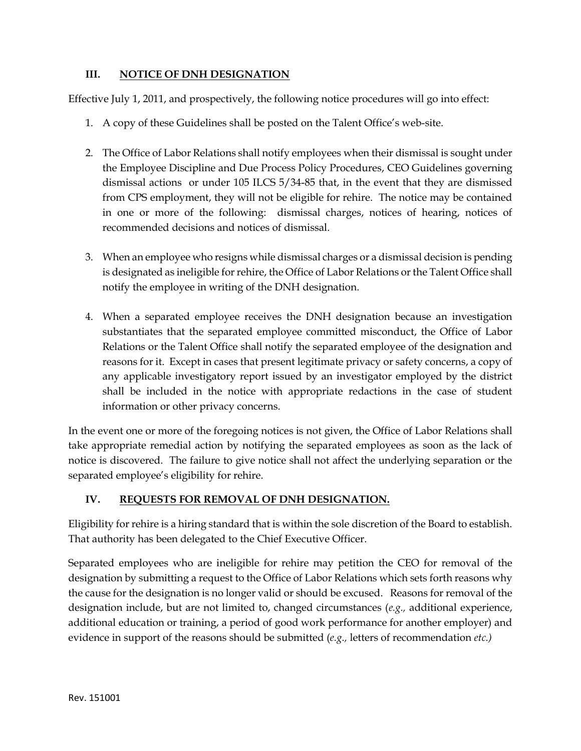### **III. NOTICE OF DNH DESIGNATION**

Effective July 1, 2011, and prospectively, the following notice procedures will go into effect:

- 1. A copy of these Guidelines shall be posted on the Talent Office's web-site.
- 2. The Office of Labor Relations shall notify employees when their dismissal is sought under the Employee Discipline and Due Process Policy Procedures, CEO Guidelines governing dismissal actions or under 105 ILCS 5/34-85 that, in the event that they are dismissed from CPS employment, they will not be eligible for rehire. The notice may be contained in one or more of the following: dismissal charges, notices of hearing, notices of recommended decisions and notices of dismissal.
- 3. When an employee who resigns while dismissal charges or a dismissal decision is pending is designated as ineligible for rehire, the Office of Labor Relations or the Talent Office shall notify the employee in writing of the DNH designation.
- 4. When a separated employee receives the DNH designation because an investigation substantiates that the separated employee committed misconduct, the Office of Labor Relations or the Talent Office shall notify the separated employee of the designation and reasons for it. Except in cases that present legitimate privacy or safety concerns, a copy of any applicable investigatory report issued by an investigator employed by the district shall be included in the notice with appropriate redactions in the case of student information or other privacy concerns.

In the event one or more of the foregoing notices is not given, the Office of Labor Relations shall take appropriate remedial action by notifying the separated employees as soon as the lack of notice is discovered. The failure to give notice shall not affect the underlying separation or the separated employee's eligibility for rehire.

### **IV. REQUESTS FOR REMOVAL OF DNH DESIGNATION.**

Eligibility for rehire is a hiring standard that is within the sole discretion of the Board to establish. That authority has been delegated to the Chief Executive Officer.

Separated employees who are ineligible for rehire may petition the CEO for removal of the designation by submitting a request to the Office of Labor Relations which sets forth reasons why the cause for the designation is no longer valid or should be excused. Reasons for removal of the designation include, but are not limited to, changed circumstances (*e.g.,* additional experience, additional education or training, a period of good work performance for another employer) and evidence in support of the reasons should be submitted (*e.g.,* letters of recommendation *etc.)*